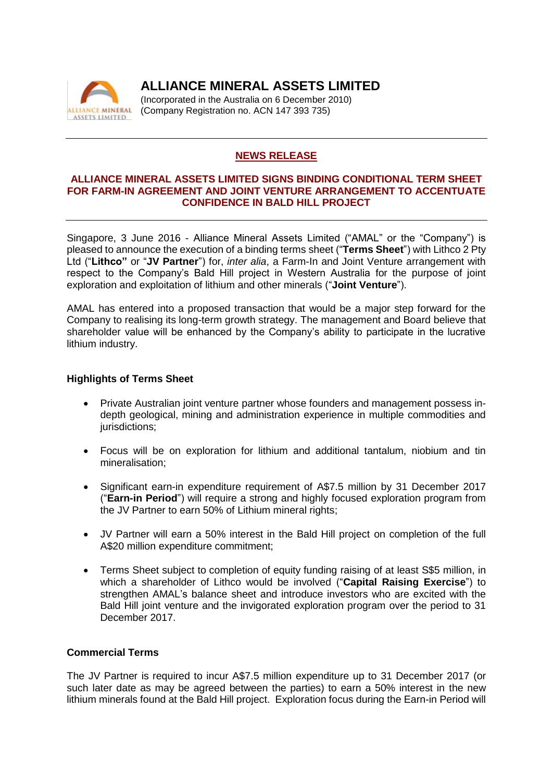

**ALLIANCE MINERAL ASSETS LIMITED**

(Incorporated in the Australia on 6 December 2010) (Company Registration no. ACN 147 393 735)

## **NEWS RELEASE**

#### **ALLIANCE MINERAL ASSETS LIMITED SIGNS BINDING CONDITIONAL TERM SHEET FOR FARM-IN AGREEMENT AND JOINT VENTURE ARRANGEMENT TO ACCENTUATE CONFIDENCE IN BALD HILL PROJECT**

Singapore, 3 June 2016 - Alliance Mineral Assets Limited ("AMAL" or the "Company") is pleased to announce the execution of a binding terms sheet ("**Terms Sheet**") with Lithco 2 Pty Ltd ("**Lithco"** or "**JV Partner**") for, *inter alia*, a Farm-In and Joint Venture arrangement with respect to the Company's Bald Hill project in Western Australia for the purpose of joint exploration and exploitation of lithium and other minerals ("**Joint Venture**").

AMAL has entered into a proposed transaction that would be a major step forward for the Company to realising its long-term growth strategy. The management and Board believe that shareholder value will be enhanced by the Company's ability to participate in the lucrative lithium industry.

## **Highlights of Terms Sheet**

- Private Australian joint venture partner whose founders and management possess indepth geological, mining and administration experience in multiple commodities and jurisdictions:
- Focus will be on exploration for lithium and additional tantalum, niobium and tin mineralisation;
- Significant earn-in expenditure requirement of A\$7.5 million by 31 December 2017 ("**Earn-in Period**") will require a strong and highly focused exploration program from the JV Partner to earn 50% of Lithium mineral rights;
- JV Partner will earn a 50% interest in the Bald Hill project on completion of the full A\$20 million expenditure commitment;
- Terms Sheet subject to completion of equity funding raising of at least S\$5 million, in which a shareholder of Lithco would be involved ("**Capital Raising Exercise**") to strengthen AMAL's balance sheet and introduce investors who are excited with the Bald Hill joint venture and the invigorated exploration program over the period to 31 December 2017.

#### **Commercial Terms**

The JV Partner is required to incur A\$7.5 million expenditure up to 31 December 2017 (or such later date as may be agreed between the parties) to earn a 50% interest in the new lithium minerals found at the Bald Hill project. Exploration focus during the Earn-in Period will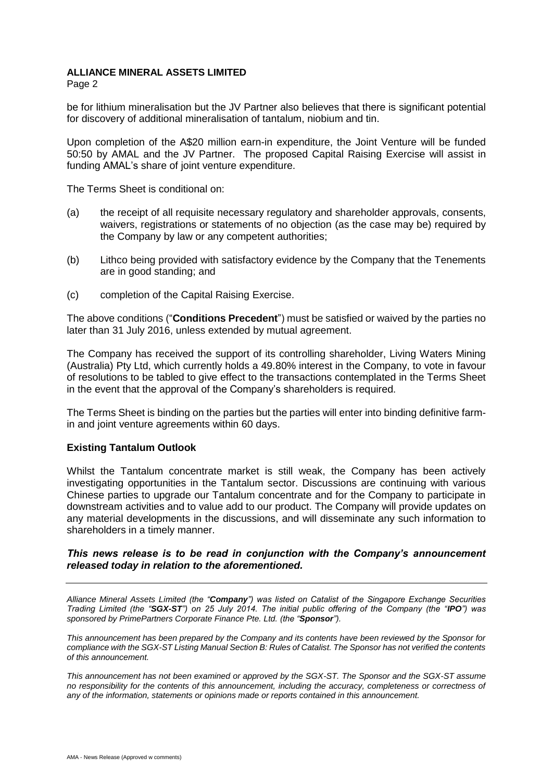#### **ALLIANCE MINERAL ASSETS LIMITED**

Page 2

be for lithium mineralisation but the JV Partner also believes that there is significant potential for discovery of additional mineralisation of tantalum, niobium and tin.

Upon completion of the A\$20 million earn-in expenditure, the Joint Venture will be funded 50:50 by AMAL and the JV Partner. The proposed Capital Raising Exercise will assist in funding AMAL's share of joint venture expenditure.

The Terms Sheet is conditional on:

- (a) the receipt of all requisite necessary regulatory and shareholder approvals, consents, waivers, registrations or statements of no objection (as the case may be) required by the Company by law or any competent authorities;
- (b) Lithco being provided with satisfactory evidence by the Company that the Tenements are in good standing; and
- (c) completion of the Capital Raising Exercise.

The above conditions ("**Conditions Precedent**") must be satisfied or waived by the parties no later than 31 July 2016, unless extended by mutual agreement.

The Company has received the support of its controlling shareholder, Living Waters Mining (Australia) Pty Ltd, which currently holds a 49.80% interest in the Company, to vote in favour of resolutions to be tabled to give effect to the transactions contemplated in the Terms Sheet in the event that the approval of the Company's shareholders is required.

The Terms Sheet is binding on the parties but the parties will enter into binding definitive farmin and joint venture agreements within 60 days.

## **Existing Tantalum Outlook**

Whilst the Tantalum concentrate market is still weak, the Company has been actively investigating opportunities in the Tantalum sector. Discussions are continuing with various Chinese parties to upgrade our Tantalum concentrate and for the Company to participate in downstream activities and to value add to our product. The Company will provide updates on any material developments in the discussions, and will disseminate any such information to shareholders in a timely manner.

#### *This news release is to be read in conjunction with the Company's announcement released today in relation to the aforementioned.*

*Alliance Mineral Assets Limited (the "Company") was listed on Catalist of the Singapore Exchange Securities Trading Limited (the "SGX-ST") on 25 July 2014. The initial public offering of the Company (the "IPO") was sponsored by PrimePartners Corporate Finance Pte. Ltd. (the "Sponsor").*

*This announcement has been prepared by the Company and its contents have been reviewed by the Sponsor for compliance with the SGX-ST Listing Manual Section B: Rules of Catalist. The Sponsor has not verified the contents of this announcement.*

*This announcement has not been examined or approved by the SGX-ST. The Sponsor and the SGX-ST assume no responsibility for the contents of this announcement, including the accuracy, completeness or correctness of any of the information, statements or opinions made or reports contained in this announcement.*